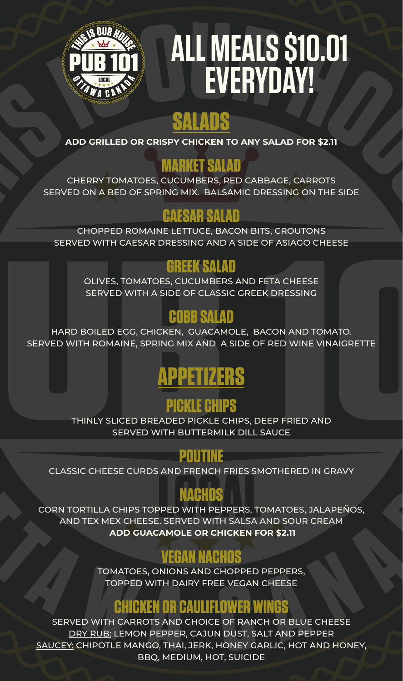

# **ALL MEALS \$10.01 EVERYDAY!**

# **SALADS**

**ADD GRILLED OR CRISPY CHICKEN TO ANY SALAD FOR \$2.11**

# **MARKET SALAD**

CHERRY TOMATOES, CUCUMBERS, RED CABBAGE, CARROTS SERVED ON A BED OF SPRING MIX. BALSAMIC DRESSING ON THE SIDE

# **CAESAR SALAD**

CHOPPED ROMAINE LETTUCE, BACON BITS, CROUTONS SERVED WITH CAESAR DRESSING AND A SIDE OF ASIAGO CHEESE

# **GREEK SALAD**

OLIVES, TOMATOES, CUCUMBERS AND FETA CHEESE SERVED WITH A SIDE OF CLASSIC GREEK DRESSING

# **COBB SALAD**

HARD BOILED EGG, CHICKEN, GUACAMOLE, BACON AND TOMATO. SERVED WITH ROMAINE, SPRING MIX AND A SIDE OF RED WINE VINAIGRETTE

# **APPETIZERS**

# **PICKLE CHIPS**

THINLY SLICED BREADED PICKLE CHIPS, DEEP FRIED AND SERVED WITH BUTTERMILK DILL SAUCE

# **POUTINE**

CLASSIC CHEESE CURDS AND FRENCH FRIES SMOTHERED IN GRAVY

# **NACHOS**

CORN TORTILLA CHIPS TOPPED WITH PEPPERS, TOMATOES, JALAPEÑOS, AND TEX MEX CHEESE. SERVED WITH SALSA AND SOUR CREAM  **ADD GUACAMOLE OR CHICKEN FOR \$2.11**

# **VEGAN NACHOS**

TOMATOES, ONIONS AND CHOPPED PEPPERS, TOPPED WITH DAIRY FREE VEGAN CHEESE

### **CHICKEN OR CAULIFLOWER WINGS**

SERVED WITH CARROTS AND CHOICE OF RANCH OR BLUE CHEESE DRY RUB: LEMON PEPPER, CAJUN DUST, SALT AND PEPPER SAUCEY: CHIPOTLE MANGO, THAI, JERK, HONEY GARLIC, HOT AND HONEY, BBQ, MEDIUM, HOT, SUICIDE